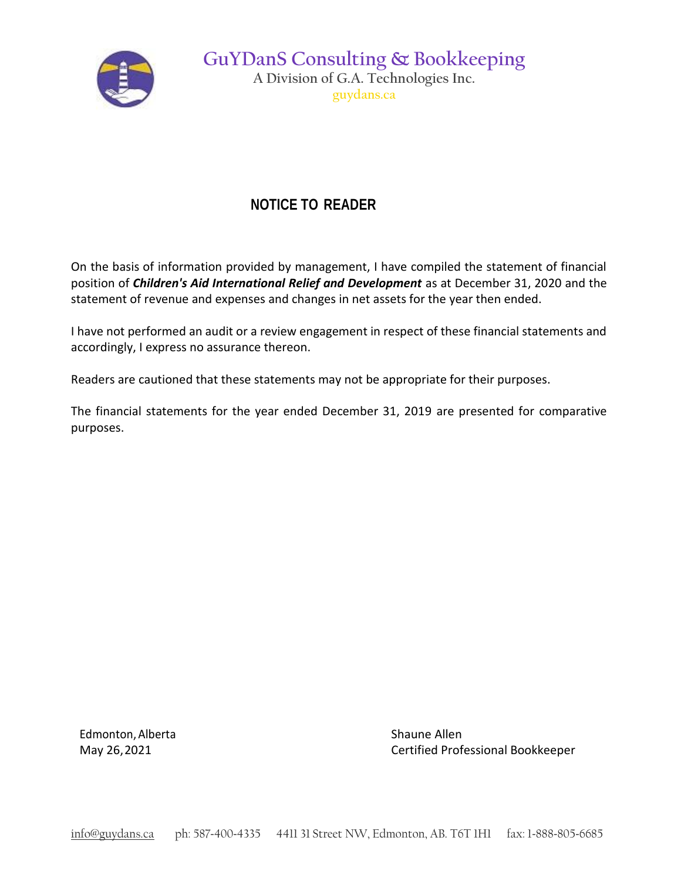

**GuYDanS Consulting & Bookkeeping A Division of G.A. Technologies Inc. guydans.ca**

## **NOTICE TO READER**

On the basis of information provided by management, I have compiled the statement of financial position of *Children's Aid International Relief and Development* as at December 31, 2020 and the statement of revenue and expenses and changes in net assets for the year then ended.

I have not performed an audit or a review engagement in respect of these financial statements and accordingly, I express no assurance thereon.

Readers are cautioned that these statements may not be appropriate for their purposes.

The financial statements for the year ended December 31, 2019 are presented for comparative purposes.

Edmonton, Alberta Shaune Allen

May 26,2021 Certified Professional Bookkeeper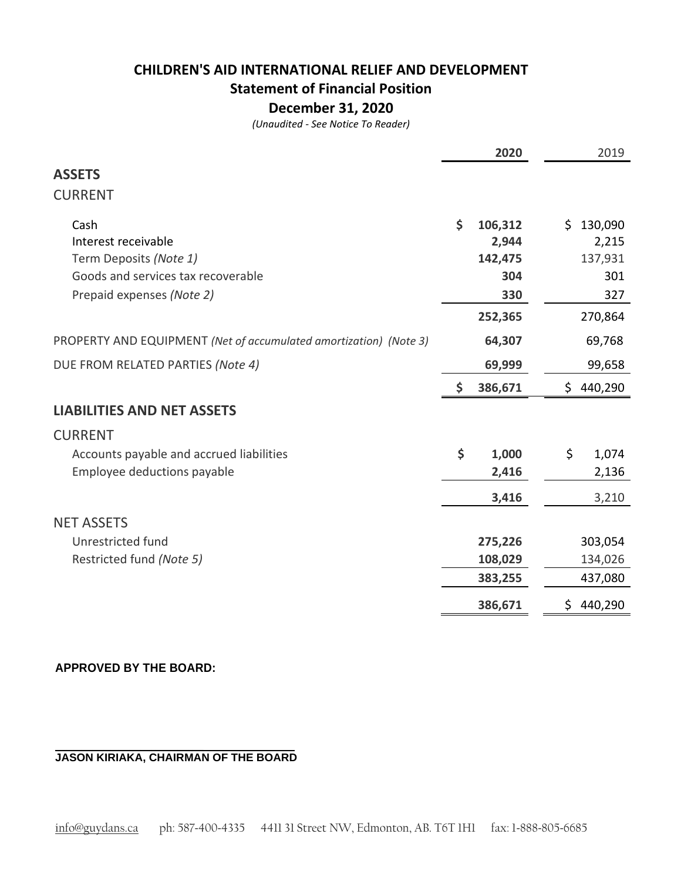# **CHILDREN'S AID INTERNATIONAL RELIEF AND DEVELOPMENT Statement of Financial Position**

### **December 31, 2020**

*(Unaudited - See Notice To Reader)*

|                                                                   |                    | 2020    |     | 2019      |
|-------------------------------------------------------------------|--------------------|---------|-----|-----------|
| <b>ASSETS</b>                                                     |                    |         |     |           |
| <b>CURRENT</b>                                                    |                    |         |     |           |
| Cash                                                              | \$                 | 106,312 | \$. | 130,090   |
| Interest receivable                                               |                    | 2,944   |     | 2,215     |
| Term Deposits (Note 1)                                            |                    | 142,475 |     | 137,931   |
| Goods and services tax recoverable                                |                    | 304     |     | 301       |
| Prepaid expenses (Note 2)                                         |                    | 330     |     | 327       |
|                                                                   |                    | 252,365 |     | 270,864   |
| PROPERTY AND EQUIPMENT (Net of accumulated amortization) (Note 3) |                    | 64,307  |     | 69,768    |
| DUE FROM RELATED PARTIES (Note 4)                                 |                    | 69,999  |     | 99,658    |
|                                                                   | \$                 | 386,671 |     | \$440,290 |
| <b>LIABILITIES AND NET ASSETS</b>                                 |                    |         |     |           |
| <b>CURRENT</b>                                                    |                    |         |     |           |
| Accounts payable and accrued liabilities                          | $\dot{\mathsf{S}}$ | 1,000   | \$  | 1,074     |
| Employee deductions payable                                       |                    | 2,416   |     | 2,136     |
|                                                                   |                    | 3,416   |     | 3,210     |
| <b>NET ASSETS</b>                                                 |                    |         |     |           |
| Unrestricted fund                                                 |                    | 275,226 |     | 303,054   |
| Restricted fund (Note 5)                                          |                    | 108,029 |     | 134,026   |
|                                                                   |                    | 383,255 |     | 437,080   |
|                                                                   |                    | 386,671 | \$. | 440,290   |

#### **APPROVED BY THE BOARD:**

**\_\_\_\_\_\_\_\_\_\_\_\_\_\_\_\_\_\_\_\_\_\_\_\_\_\_\_\_\_\_\_\_\_\_\_\_\_\_\_\_ JASON KIRIAKA, CHAIRMAN OF THE BOARD**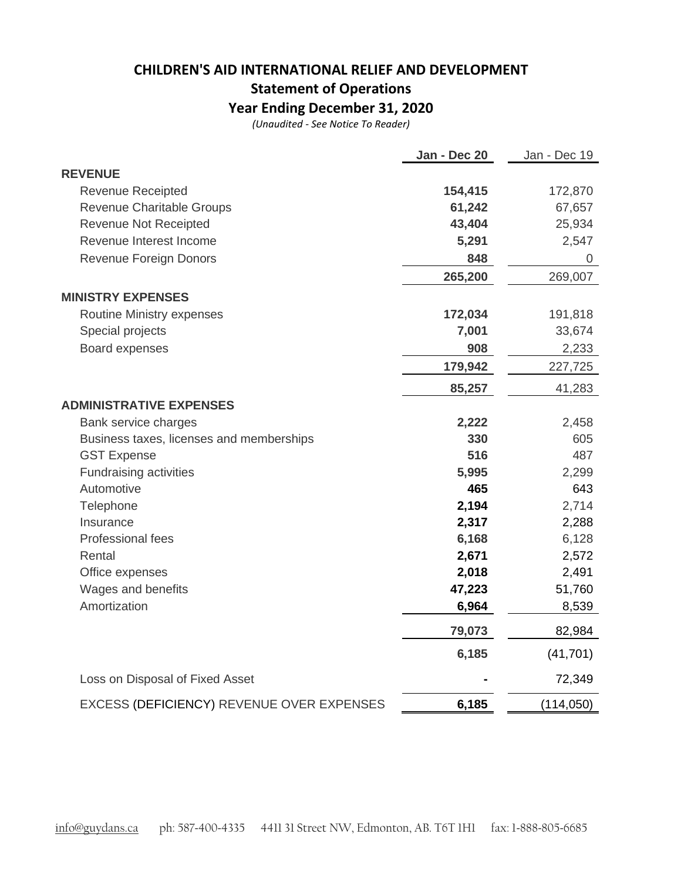# **CHILDREN'S AID INTERNATIONAL RELIEF AND DEVELOPMENT Statement of Operations**

**Year Ending December 31, 2020**

*(Unaudited - See Notice To Reader)*

|                                           | Jan - Dec 20 | Jan - Dec 19 |
|-------------------------------------------|--------------|--------------|
| <b>REVENUE</b>                            |              |              |
| <b>Revenue Receipted</b>                  | 154,415      | 172,870      |
| Revenue Charitable Groups                 | 61,242       | 67,657       |
| <b>Revenue Not Receipted</b>              | 43,404       | 25,934       |
| Revenue Interest Income                   | 5,291        | 2,547        |
| Revenue Foreign Donors                    | 848          | 0            |
|                                           | 265,200      | 269,007      |
| <b>MINISTRY EXPENSES</b>                  |              |              |
| Routine Ministry expenses                 | 172,034      | 191,818      |
| Special projects                          | 7,001        | 33,674       |
| Board expenses                            | 908          | 2,233        |
|                                           | 179,942      | 227,725      |
|                                           | 85,257       | 41,283       |
| <b>ADMINISTRATIVE EXPENSES</b>            |              |              |
| Bank service charges                      | 2,222        | 2,458        |
| Business taxes, licenses and memberships  | 330          | 605          |
| <b>GST Expense</b>                        | 516          | 487          |
| Fundraising activities                    | 5,995        | 2,299        |
| Automotive                                | 465          | 643          |
| Telephone                                 | 2,194        | 2,714        |
| Insurance                                 | 2,317        | 2,288        |
| Professional fees                         | 6,168        | 6,128        |
| Rental                                    | 2,671        | 2,572        |
| Office expenses                           | 2,018        | 2,491        |
| Wages and benefits                        | 47,223       | 51,760       |
| Amortization                              | 6,964        | 8,539        |
|                                           | 79,073       | 82,984       |
|                                           | 6,185        | (41, 701)    |
| Loss on Disposal of Fixed Asset           |              | 72,349       |
| EXCESS (DEFICIENCY) REVENUE OVER EXPENSES | 6,185        | (114, 050)   |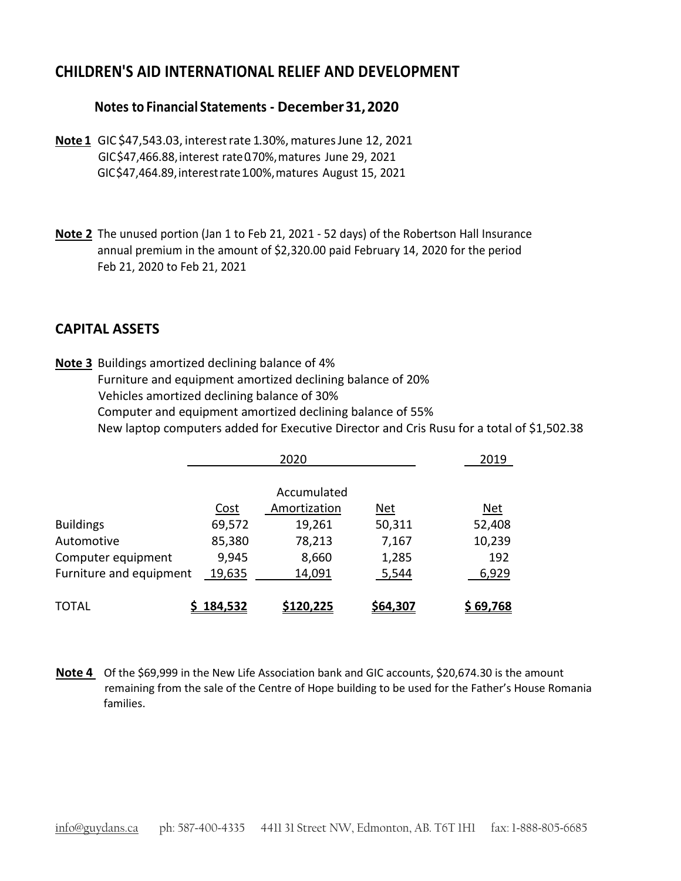### **CHILDREN'S AID INTERNATIONAL RELIEF AND DEVELOPMENT**

### **Notes to Financial Statements - December31,2020**

- **Note 1** GIC \$47,543.03, interestrate 1.30%,maturesJune 12, 2021 GIC\$47,466.88,interest rate0.70%,matures June 29, 2021 GIC\$47,464.89,interestrate1.00%,matures August 15, 2021
- **Note 2** The unused portion (Jan 1 to Feb 21, 2021 52 days) of the Robertson Hall Insurance annual premium in the amount of \$2,320.00 paid February 14, 2020 for the period Feb 21, 2020 to Feb 21, 2021

### **CAPITAL ASSETS**

**Note 3** Buildings amortized declining balance of 4% Furniture and equipment amortized declining balance of 20% Vehicles amortized declining balance of 30% Computer and equipment amortized declining balance of 55% New laptop computers added for Executive Director and Cris Rusu for a total of \$1,502.38

|                         | 2020    |                  |            | 2019             |  |
|-------------------------|---------|------------------|------------|------------------|--|
|                         |         | Accumulated      |            |                  |  |
|                         | Cost    | Amortization     | <u>Net</u> | <u>Net</u>       |  |
| <b>Buildings</b>        | 69,572  | 19,261           | 50,311     | 52,408           |  |
| Automotive              | 85,380  | 78,213           | 7,167      | 10,239           |  |
| Computer equipment      | 9,945   | 8,660            | 1,285      | 192              |  |
| Furniture and equipment | 19,635  | 14,091           | 5,544      | 6,929            |  |
| <b>TOTAL</b>            | 184,532 | <u>\$120,225</u> | \$64,307   | <u>\$ 69,768</u> |  |

**Note 4** Of the \$69,999 in the New Life Association bank and GIC accounts, \$20,674.30 is the amount remaining from the sale of the Centre of Hope building to be used for the Father's House Romania families.